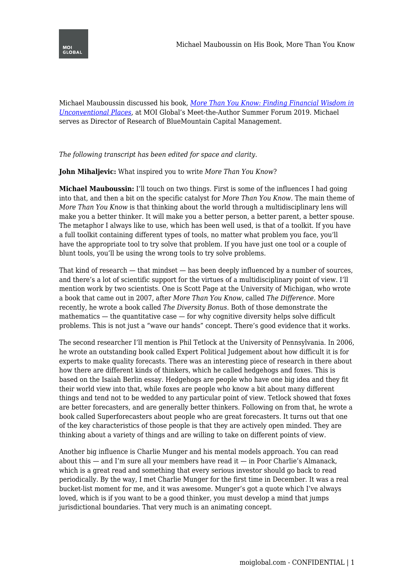Michael Mauboussin discussed his book, *[More Than You Know: Finding Financial Wisdom in](https://amzn.to/2SDlHXy) [Unconventional Places](https://amzn.to/2SDlHXy)*, at MOI Global's Meet-the-Author Summer Forum 2019. Michael serves as Director of Research of BlueMountain Capital Management.

## *The following transcript has been edited for space and clarity.*

**John Mihaljevic:** What inspired you to write *More Than You Know*?

**Michael Mauboussin:** I'll touch on two things. First is some of the influences I had going into that, and then a bit on the specific catalyst for *More Than You Know*. The main theme of *More Than You Know* is that thinking about the world through a multidisciplinary lens will make you a better thinker. It will make you a better person, a better parent, a better spouse. The metaphor I always like to use, which has been well used, is that of a toolkit. If you have a full toolkit containing different types of tools, no matter what problem you face, you'll have the appropriate tool to try solve that problem. If you have just one tool or a couple of blunt tools, you'll be using the wrong tools to try solve problems.

That kind of research — that mindset — has been deeply influenced by a number of sources, and there's a lot of scientific support for the virtues of a multidisciplinary point of view. I'll mention work by two scientists. One is Scott Page at the University of Michigan, who wrote a book that came out in 2007, after *More Than You Know*, called *The Difference*. More recently, he wrote a book called *The Diversity Bonus*. Both of those demonstrate the mathematics — the quantitative case — for why cognitive diversity helps solve difficult problems. This is not just a "wave our hands" concept. There's good evidence that it works.

The second researcher I'll mention is Phil Tetlock at the University of Pennsylvania. In 2006, he wrote an outstanding book called Expert Political Judgement about how difficult it is for experts to make quality forecasts. There was an interesting piece of research in there about how there are different kinds of thinkers, which he called hedgehogs and foxes. This is based on the Isaiah Berlin essay. Hedgehogs are people who have one big idea and they fit their world view into that, while foxes are people who know a bit about many different things and tend not to be wedded to any particular point of view. Tetlock showed that foxes are better forecasters, and are generally better thinkers. Following on from that, he wrote a book called Superforecasters about people who are great forecasters. It turns out that one of the key characteristics of those people is that they are actively open minded. They are thinking about a variety of things and are willing to take on different points of view.

Another big influence is Charlie Munger and his mental models approach. You can read about this  $-$  and I'm sure all your members have read it  $-$  in Poor Charlie's Almanack, which is a great read and something that every serious investor should go back to read periodically. By the way, I met Charlie Munger for the first time in December. It was a real bucket-list moment for me, and it was awesome. Munger's got a quote which I've always loved, which is if you want to be a good thinker, you must develop a mind that jumps jurisdictional boundaries. That very much is an animating concept.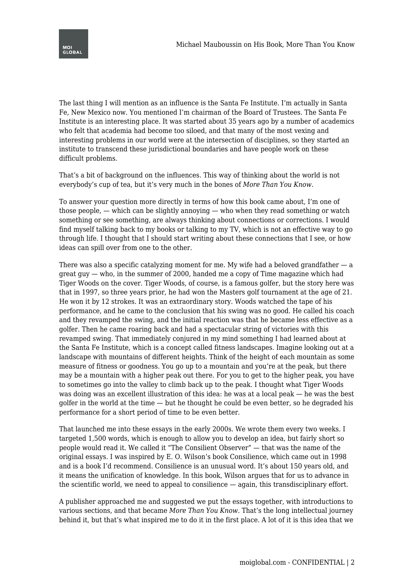

The last thing I will mention as an influence is the Santa Fe Institute. I'm actually in Santa Fe, New Mexico now. You mentioned I'm chairman of the Board of Trustees. The Santa Fe Institute is an interesting place. It was started about 35 years ago by a number of academics who felt that academia had become too siloed, and that many of the most vexing and interesting problems in our world were at the intersection of disciplines, so they started an institute to transcend these jurisdictional boundaries and have people work on these difficult problems.

That's a bit of background on the influences. This way of thinking about the world is not everybody's cup of tea, but it's very much in the bones of *More Than You Know*.

To answer your question more directly in terms of how this book came about, I'm one of those people, — which can be slightly annoying — who when they read something or watch something or see something, are always thinking about connections or corrections. I would find myself talking back to my books or talking to my TV, which is not an effective way to go through life. I thought that I should start writing about these connections that I see, or how ideas can spill over from one to the other.

There was also a specific catalyzing moment for me. My wife had a beloved grandfather  $-$  a great guy — who, in the summer of 2000, handed me a copy of Time magazine which had Tiger Woods on the cover. Tiger Woods, of course, is a famous golfer, but the story here was that in 1997, so three years prior, he had won the Masters golf tournament at the age of 21. He won it by 12 strokes. It was an extraordinary story. Woods watched the tape of his performance, and he came to the conclusion that his swing was no good. He called his coach and they revamped the swing, and the initial reaction was that he became less effective as a golfer. Then he came roaring back and had a spectacular string of victories with this revamped swing. That immediately conjured in my mind something I had learned about at the Santa Fe Institute, which is a concept called fitness landscapes. Imagine looking out at a landscape with mountains of different heights. Think of the height of each mountain as some measure of fitness or goodness. You go up to a mountain and you're at the peak, but there may be a mountain with a higher peak out there. For you to get to the higher peak, you have to sometimes go into the valley to climb back up to the peak. I thought what Tiger Woods was doing was an excellent illustration of this idea: he was at a local peak — he was the best golfer in the world at the time — but he thought he could be even better, so he degraded his performance for a short period of time to be even better.

That launched me into these essays in the early 2000s. We wrote them every two weeks. I targeted 1,500 words, which is enough to allow you to develop an idea, but fairly short so people would read it. We called it "The Consilient Observer" — that was the name of the original essays. I was inspired by E. O. Wilson's book Consilience, which came out in 1998 and is a book I'd recommend. Consilience is an unusual word. It's about 150 years old, and it means the unification of knowledge. In this book, Wilson argues that for us to advance in the scientific world, we need to appeal to consilience — again, this transdisciplinary effort.

A publisher approached me and suggested we put the essays together, with introductions to various sections, and that became *More Than You Know*. That's the long intellectual journey behind it, but that's what inspired me to do it in the first place. A lot of it is this idea that we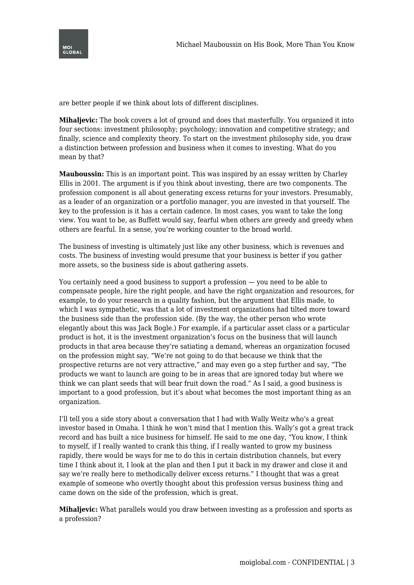

are better people if we think about lots of different disciplines.

**Mihaljevic:** The book covers a lot of ground and does that masterfully. You organized it into four sections: investment philosophy; psychology; innovation and competitive strategy; and finally, science and complexity theory. To start on the investment philosophy side, you draw a distinction between profession and business when it comes to investing. What do you mean by that?

**Mauboussin:** This is an important point. This was inspired by an essay written by Charley Ellis in 2001. The argument is if you think about investing, there are two components. The profession component is all about generating excess returns for your investors. Presumably, as a leader of an organization or a portfolio manager, you are invested in that yourself. The key to the profession is it has a certain cadence. In most cases, you want to take the long view. You want to be, as Buffett would say, fearful when others are greedy and greedy when others are fearful. In a sense, you're working counter to the broad world.

The business of investing is ultimately just like any other business, which is revenues and costs. The business of investing would presume that your business is better if you gather more assets, so the business side is about gathering assets.

You certainly need a good business to support a profession — you need to be able to compensate people, hire the right people, and have the right organization and resources, for example, to do your research in a quality fashion, but the argument that Ellis made, to which I was sympathetic, was that a lot of investment organizations had tilted more toward the business side than the profession side. (By the way, the other person who wrote elegantly about this was Jack Bogle.) For example, if a particular asset class or a particular product is hot, it is the investment organization's focus on the business that will launch products in that area because they're satiating a demand, whereas an organization focused on the profession might say, "We're not going to do that because we think that the prospective returns are not very attractive," and may even go a step further and say, "The products we want to launch are going to be in areas that are ignored today but where we think we can plant seeds that will bear fruit down the road." As I said, a good business is important to a good profession, but it's about what becomes the most important thing as an organization.

I'll tell you a side story about a conversation that I had with Wally Weitz who's a great investor based in Omaha. I think he won't mind that I mention this. Wally's got a great track record and has built a nice business for himself. He said to me one day, "You know, I think to myself, if I really wanted to crank this thing, if I really wanted to grow my business rapidly, there would be ways for me to do this in certain distribution channels, but every time I think about it, I look at the plan and then I put it back in my drawer and close it and say we're really here to methodically deliver excess returns." I thought that was a great example of someone who overtly thought about this profession versus business thing and came down on the side of the profession, which is great.

**Mihaljevic:** What parallels would you draw between investing as a profession and sports as a profession?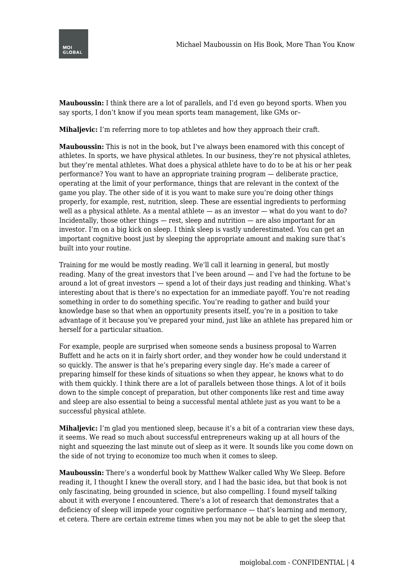

**Mauboussin:** I think there are a lot of parallels, and I'd even go beyond sports. When you say sports, I don't know if you mean sports team management, like GMs or–

**Mihaljevic:** I'm referring more to top athletes and how they approach their craft.

**Mauboussin:** This is not in the book, but I've always been enamored with this concept of athletes. In sports, we have physical athletes. In our business, they're not physical athletes, but they're mental athletes. What does a physical athlete have to do to be at his or her peak performance? You want to have an appropriate training program — deliberate practice, operating at the limit of your performance, things that are relevant in the context of the game you play. The other side of it is you want to make sure you're doing other things properly, for example, rest, nutrition, sleep. These are essential ingredients to performing well as a physical athlete. As a mental athlete — as an investor — what do you want to do? Incidentally, those other things  $-$  rest, sleep and nutrition  $-$  are also important for an investor. I'm on a big kick on sleep. I think sleep is vastly underestimated. You can get an important cognitive boost just by sleeping the appropriate amount and making sure that's built into your routine.

Training for me would be mostly reading. We'll call it learning in general, but mostly reading. Many of the great investors that I've been around — and I've had the fortune to be around a lot of great investors — spend a lot of their days just reading and thinking. What's interesting about that is there's no expectation for an immediate payoff. You're not reading something in order to do something specific. You're reading to gather and build your knowledge base so that when an opportunity presents itself, you're in a position to take advantage of it because you've prepared your mind, just like an athlete has prepared him or herself for a particular situation.

For example, people are surprised when someone sends a business proposal to Warren Buffett and he acts on it in fairly short order, and they wonder how he could understand it so quickly. The answer is that he's preparing every single day. He's made a career of preparing himself for these kinds of situations so when they appear, he knows what to do with them quickly. I think there are a lot of parallels between those things. A lot of it boils down to the simple concept of preparation, but other components like rest and time away and sleep are also essential to being a successful mental athlete just as you want to be a successful physical athlete.

**Mihaljevic:** I'm glad you mentioned sleep, because it's a bit of a contrarian view these days, it seems. We read so much about successful entrepreneurs waking up at all hours of the night and squeezing the last minute out of sleep as it were. It sounds like you come down on the side of not trying to economize too much when it comes to sleep.

**Mauboussin:** There's a wonderful book by Matthew Walker called Why We Sleep. Before reading it, I thought I knew the overall story, and I had the basic idea, but that book is not only fascinating, being grounded in science, but also compelling. I found myself talking about it with everyone I encountered. There's a lot of research that demonstrates that a deficiency of sleep will impede your cognitive performance — that's learning and memory, et cetera. There are certain extreme times when you may not be able to get the sleep that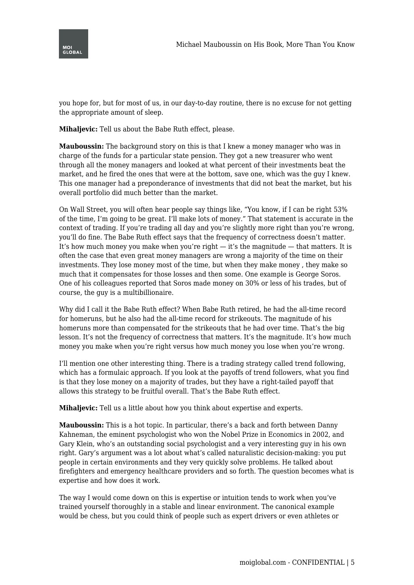



you hope for, but for most of us, in our day-to-day routine, there is no excuse for not getting the appropriate amount of sleep.

**Mihaljevic:** Tell us about the Babe Ruth effect, please.

**Mauboussin:** The background story on this is that I knew a money manager who was in charge of the funds for a particular state pension. They got a new treasurer who went through all the money managers and looked at what percent of their investments beat the market, and he fired the ones that were at the bottom, save one, which was the guy I knew. This one manager had a preponderance of investments that did not beat the market, but his overall portfolio did much better than the market.

On Wall Street, you will often hear people say things like, "You know, if I can be right 53% of the time, I'm going to be great. I'll make lots of money." That statement is accurate in the context of trading. If you're trading all day and you're slightly more right than you're wrong, you'll do fine. The Babe Ruth effect says that the frequency of correctness doesn't matter. It's how much money you make when you're right — it's the magnitude — that matters. It is often the case that even great money managers are wrong a majority of the time on their investments. They lose money most of the time, but when they make money , they make so much that it compensates for those losses and then some. One example is George Soros. One of his colleagues reported that Soros made money on 30% or less of his trades, but of course, the guy is a multibillionaire.

Why did I call it the Babe Ruth effect? When Babe Ruth retired, he had the all-time record for homeruns, but he also had the all-time record for strikeouts. The magnitude of his homeruns more than compensated for the strikeouts that he had over time. That's the big lesson. It's not the frequency of correctness that matters. It's the magnitude. It's how much money you make when you're right versus how much money you lose when you're wrong.

I'll mention one other interesting thing. There is a trading strategy called trend following, which has a formulaic approach. If you look at the payoffs of trend followers, what you find is that they lose money on a majority of trades, but they have a right-tailed payoff that allows this strategy to be fruitful overall. That's the Babe Ruth effect.

**Mihalievic:** Tell us a little about how you think about expertise and experts.

**Mauboussin:** This is a hot topic. In particular, there's a back and forth between Danny Kahneman, the eminent psychologist who won the Nobel Prize in Economics in 2002, and Gary Klein, who's an outstanding social psychologist and a very interesting guy in his own right. Gary's argument was a lot about what's called naturalistic decision-making: you put people in certain environments and they very quickly solve problems. He talked about firefighters and emergency healthcare providers and so forth. The question becomes what is expertise and how does it work.

The way I would come down on this is expertise or intuition tends to work when you've trained yourself thoroughly in a stable and linear environment. The canonical example would be chess, but you could think of people such as expert drivers or even athletes or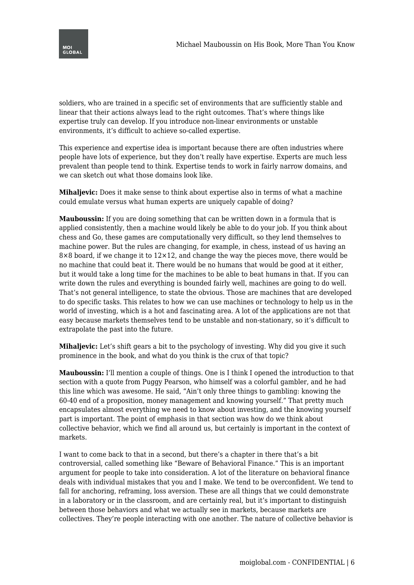

soldiers, who are trained in a specific set of environments that are sufficiently stable and linear that their actions always lead to the right outcomes. That's where things like expertise truly can develop. If you introduce non-linear environments or unstable environments, it's difficult to achieve so-called expertise.

This experience and expertise idea is important because there are often industries where people have lots of experience, but they don't really have expertise. Experts are much less prevalent than people tend to think. Expertise tends to work in fairly narrow domains, and we can sketch out what those domains look like.

**Mihaljevic:** Does it make sense to think about expertise also in terms of what a machine could emulate versus what human experts are uniquely capable of doing?

**Mauboussin:** If you are doing something that can be written down in a formula that is applied consistently, then a machine would likely be able to do your job. If you think about chess and Go, these games are computationally very difficult, so they lend themselves to machine power. But the rules are changing, for example, in chess, instead of us having an  $8\times8$  board, if we change it to  $12\times12$ , and change the way the pieces move, there would be no machine that could beat it. There would be no humans that would be good at it either, but it would take a long time for the machines to be able to beat humans in that. If you can write down the rules and everything is bounded fairly well, machines are going to do well. That's not general intelligence, to state the obvious. Those are machines that are developed to do specific tasks. This relates to how we can use machines or technology to help us in the world of investing, which is a hot and fascinating area. A lot of the applications are not that easy because markets themselves tend to be unstable and non-stationary, so it's difficult to extrapolate the past into the future.

**Mihaljevic:** Let's shift gears a bit to the psychology of investing. Why did you give it such prominence in the book, and what do you think is the crux of that topic?

**Mauboussin:** I'll mention a couple of things. One is I think I opened the introduction to that section with a quote from Puggy Pearson, who himself was a colorful gambler, and he had this line which was awesome. He said, "Ain't only three things to gambling: knowing the 60-40 end of a proposition, money management and knowing yourself." That pretty much encapsulates almost everything we need to know about investing, and the knowing yourself part is important. The point of emphasis in that section was how do we think about collective behavior, which we find all around us, but certainly is important in the context of markets.

I want to come back to that in a second, but there's a chapter in there that's a bit controversial, called something like "Beware of Behavioral Finance." This is an important argument for people to take into consideration. A lot of the literature on behavioral finance deals with individual mistakes that you and I make. We tend to be overconfident. We tend to fall for anchoring, reframing, loss aversion. These are all things that we could demonstrate in a laboratory or in the classroom, and are certainly real, but it's important to distinguish between those behaviors and what we actually see in markets, because markets are collectives. They're people interacting with one another. The nature of collective behavior is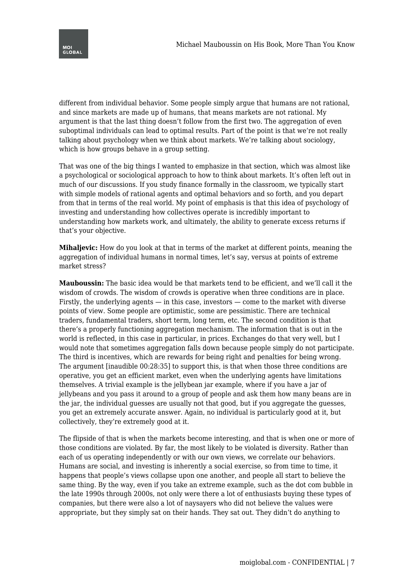

different from individual behavior. Some people simply argue that humans are not rational, and since markets are made up of humans, that means markets are not rational. My argument is that the last thing doesn't follow from the first two. The aggregation of even suboptimal individuals can lead to optimal results. Part of the point is that we're not really talking about psychology when we think about markets. We're talking about sociology, which is how groups behave in a group setting.

That was one of the big things I wanted to emphasize in that section, which was almost like a psychological or sociological approach to how to think about markets. It's often left out in much of our discussions. If you study finance formally in the classroom, we typically start with simple models of rational agents and optimal behaviors and so forth, and you depart from that in terms of the real world. My point of emphasis is that this idea of psychology of investing and understanding how collectives operate is incredibly important to understanding how markets work, and ultimately, the ability to generate excess returns if that's your objective.

**Mihaljevic:** How do you look at that in terms of the market at different points, meaning the aggregation of individual humans in normal times, let's say, versus at points of extreme market stress?

**Mauboussin:** The basic idea would be that markets tend to be efficient, and we'll call it the wisdom of crowds. The wisdom of crowds is operative when three conditions are in place. Firstly, the underlying agents  $-$  in this case, investors  $-$  come to the market with diverse points of view. Some people are optimistic, some are pessimistic. There are technical traders, fundamental traders, short term, long term, etc. The second condition is that there's a properly functioning aggregation mechanism. The information that is out in the world is reflected, in this case in particular, in prices. Exchanges do that very well, but I would note that sometimes aggregation falls down because people simply do not participate. The third is incentives, which are rewards for being right and penalties for being wrong. The argument [inaudible 00:28:35] to support this, is that when those three conditions are operative, you get an efficient market, even when the underlying agents have limitations themselves. A trivial example is the jellybean jar example, where if you have a jar of jellybeans and you pass it around to a group of people and ask them how many beans are in the jar, the individual guesses are usually not that good, but if you aggregate the guesses, you get an extremely accurate answer. Again, no individual is particularly good at it, but collectively, they're extremely good at it.

The flipside of that is when the markets become interesting, and that is when one or more of those conditions are violated. By far, the most likely to be violated is diversity. Rather than each of us operating independently or with our own views, we correlate our behaviors. Humans are social, and investing is inherently a social exercise, so from time to time, it happens that people's views collapse upon one another, and people all start to believe the same thing. By the way, even if you take an extreme example, such as the dot com bubble in the late 1990s through 2000s, not only were there a lot of enthusiasts buying these types of companies, but there were also a lot of naysayers who did not believe the values were appropriate, but they simply sat on their hands. They sat out. They didn't do anything to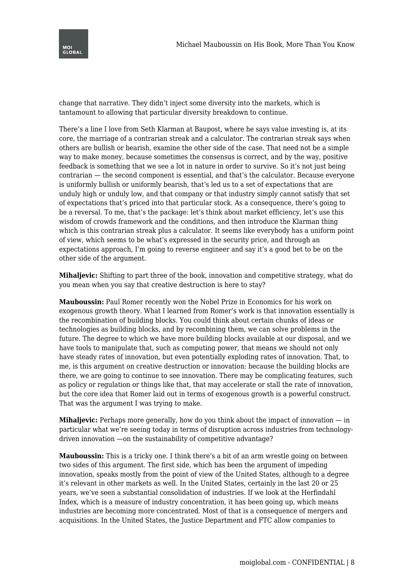

change that narrative. They didn't inject some diversity into the markets, which is tantamount to allowing that particular diversity breakdown to continue.

There's a line I love from Seth Klarman at Baupost, where he says value investing is, at its core, the marriage of a contrarian streak and a calculator. The contrarian streak says when others are bullish or bearish, examine the other side of the case. That need not be a simple way to make money, because sometimes the consensus is correct, and by the way, positive feedback is something that we see a lot in nature in order to survive. So it's not just being contrarian — the second component is essential, and that's the calculator. Because everyone is uniformly bullish or uniformly bearish, that's led us to a set of expectations that are unduly high or unduly low, and that company or that industry simply cannot satisfy that set of expectations that's priced into that particular stock. As a consequence, there's going to be a reversal. To me, that's the package: let's think about market efficiency, let's use this wisdom of crowds framework and the conditions, and then introduce the Klarman thing which is this contrarian streak plus a calculator. It seems like everybody has a uniform point of view, which seems to be what's expressed in the security price, and through an expectations approach, I'm going to reverse engineer and say it's a good bet to be on the other side of the argument.

**Mihaljevic:** Shifting to part three of the book, innovation and competitive strategy, what do you mean when you say that creative destruction is here to stay?

**Mauboussin:** Paul Romer recently won the Nobel Prize in Economics for his work on exogenous growth theory. What I learned from Romer's work is that innovation essentially is the recombination of building blocks. You could think about certain chunks of ideas or technologies as building blocks, and by recombining them, we can solve problems in the future. The degree to which we have more building blocks available at our disposal, and we have tools to manipulate that, such as computing power, that means we should not only have steady rates of innovation, but even potentially exploding rates of innovation. That, to me, is this argument on creative destruction or innovation: because the building blocks are there, we are going to continue to see innovation. There may be complicating features, such as policy or regulation or things like that, that may accelerate or stall the rate of innovation, but the core idea that Romer laid out in terms of exogenous growth is a powerful construct. That was the argument I was trying to make.

**Mihaljevic:** Perhaps more generally, how do you think about the impact of innovation — in particular what we're seeing today in terms of disruption across industries from technologydriven innovation —on the sustainability of competitive advantage?

**Mauboussin:** This is a tricky one. I think there's a bit of an arm wrestle going on between two sides of this argument. The first side, which has been the argument of impeding innovation, speaks mostly from the point of view of the United States, although to a degree it's relevant in other markets as well. In the United States, certainly in the last 20 or 25 years, we've seen a substantial consolidation of industries. If we look at the Herfindahl Index, which is a measure of industry concentration, it has been going up, which means industries are becoming more concentrated. Most of that is a consequence of mergers and acquisitions. In the United States, the Justice Department and FTC allow companies to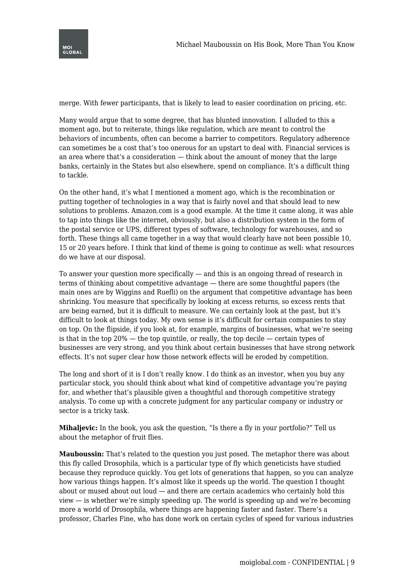

merge. With fewer participants, that is likely to lead to easier coordination on pricing, etc.

Many would argue that to some degree, that has blunted innovation. I alluded to this a moment ago, but to reiterate, things like regulation, which are meant to control the behaviors of incumbents, often can become a barrier to competitors. Regulatory adherence can sometimes be a cost that's too onerous for an upstart to deal with. Financial services is an area where that's a consideration — think about the amount of money that the large banks, certainly in the States but also elsewhere, spend on compliance. It's a difficult thing to tackle.

On the other hand, it's what I mentioned a moment ago, which is the recombination or putting together of technologies in a way that is fairly novel and that should lead to new solutions to problems. Amazon.com is a good example. At the time it came along, it was able to tap into things like the internet, obviously, but also a distribution system in the form of the postal service or UPS, different types of software, technology for warehouses, and so forth. These things all came together in a way that would clearly have not been possible 10, 15 or 20 years before. I think that kind of theme is going to continue as well: what resources do we have at our disposal.

To answer your question more specifically — and this is an ongoing thread of research in terms of thinking about competitive advantage — there are some thoughtful papers (the main ones are by Wiggins and Ruefli) on the argument that competitive advantage has been shrinking. You measure that specifically by looking at excess returns, so excess rents that are being earned, but it is difficult to measure. We can certainly look at the past, but it's difficult to look at things today. My own sense is it's difficult for certain companies to stay on top. On the flipside, if you look at, for example, margins of businesses, what we're seeing is that in the top 20% — the top quintile, or really, the top decile — certain types of businesses are very strong, and you think about certain businesses that have strong network effects. It's not super clear how those network effects will be eroded by competition.

The long and short of it is I don't really know. I do think as an investor, when you buy any particular stock, you should think about what kind of competitive advantage you're paying for, and whether that's plausible given a thoughtful and thorough competitive strategy analysis. To come up with a concrete judgment for any particular company or industry or sector is a tricky task.

**Mihaljevic:** In the book, you ask the question, "Is there a fly in your portfolio?" Tell us about the metaphor of fruit flies.

**Mauboussin:** That's related to the question you just posed. The metaphor there was about this fly called Drosophila, which is a particular type of fly which geneticists have studied because they reproduce quickly. You get lots of generations that happen, so you can analyze how various things happen. It's almost like it speeds up the world. The question I thought about or mused about out loud — and there are certain academics who certainly hold this view — is whether we're simply speeding up. The world is speeding up and we're becoming more a world of Drosophila, where things are happening faster and faster. There's a professor, Charles Fine, who has done work on certain cycles of speed for various industries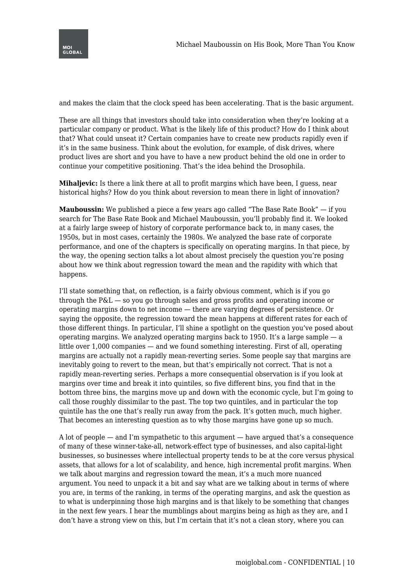

and makes the claim that the clock speed has been accelerating. That is the basic argument.

These are all things that investors should take into consideration when they're looking at a particular company or product. What is the likely life of this product? How do I think about that? What could unseat it? Certain companies have to create new products rapidly even if it's in the same business. Think about the evolution, for example, of disk drives, where product lives are short and you have to have a new product behind the old one in order to continue your competitive positioning. That's the idea behind the Drosophila.

**Mihaljevic:** Is there a link there at all to profit margins which have been, I guess, near historical highs? How do you think about reversion to mean there in light of innovation?

**Mauboussin:** We published a piece a few years ago called "The Base Rate Book" — if you search for The Base Rate Book and Michael Mauboussin, you'll probably find it. We looked at a fairly large sweep of history of corporate performance back to, in many cases, the 1950s, but in most cases, certainly the 1980s. We analyzed the base rate of corporate performance, and one of the chapters is specifically on operating margins. In that piece, by the way, the opening section talks a lot about almost precisely the question you're posing about how we think about regression toward the mean and the rapidity with which that happens.

I'll state something that, on reflection, is a fairly obvious comment, which is if you go through the P&L — so you go through sales and gross profits and operating income or operating margins down to net income — there are varying degrees of persistence. Or saying the opposite, the regression toward the mean happens at different rates for each of those different things. In particular, I'll shine a spotlight on the question you've posed about operating margins. We analyzed operating margins back to 1950. It's a large sample  $-$  a little over 1,000 companies — and we found something interesting. First of all, operating margins are actually not a rapidly mean-reverting series. Some people say that margins are inevitably going to revert to the mean, but that's empirically not correct. That is not a rapidly mean-reverting series. Perhaps a more consequential observation is if you look at margins over time and break it into quintiles, so five different bins, you find that in the bottom three bins, the margins move up and down with the economic cycle, but I'm going to call those roughly dissimilar to the past. The top two quintiles, and in particular the top quintile has the one that's really run away from the pack. It's gotten much, much higher. That becomes an interesting question as to why those margins have gone up so much.

A lot of people — and I'm sympathetic to this argument — have argued that's a consequence of many of these winner-take-all, network-effect type of businesses, and also capital-light businesses, so businesses where intellectual property tends to be at the core versus physical assets, that allows for a lot of scalability, and hence, high incremental profit margins. When we talk about margins and regression toward the mean, it's a much more nuanced argument. You need to unpack it a bit and say what are we talking about in terms of where you are, in terms of the ranking, in terms of the operating margins, and ask the question as to what is underpinning those high margins and is that likely to be something that changes in the next few years. I hear the mumblings about margins being as high as they are, and I don't have a strong view on this, but I'm certain that it's not a clean story, where you can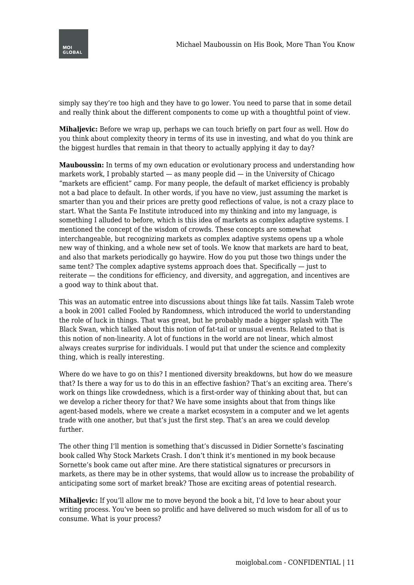

simply say they're too high and they have to go lower. You need to parse that in some detail and really think about the different components to come up with a thoughtful point of view.

**Mihaljevic:** Before we wrap up, perhaps we can touch briefly on part four as well. How do you think about complexity theory in terms of its use in investing, and what do you think are the biggest hurdles that remain in that theory to actually applying it day to day?

**Mauboussin:** In terms of my own education or evolutionary process and understanding how markets work, I probably started — as many people did — in the University of Chicago "markets are efficient" camp. For many people, the default of market efficiency is probably not a bad place to default. In other words, if you have no view, just assuming the market is smarter than you and their prices are pretty good reflections of value, is not a crazy place to start. What the Santa Fe Institute introduced into my thinking and into my language, is something I alluded to before, which is this idea of markets as complex adaptive systems. I mentioned the concept of the wisdom of crowds. These concepts are somewhat interchangeable, but recognizing markets as complex adaptive systems opens up a whole new way of thinking, and a whole new set of tools. We know that markets are hard to beat, and also that markets periodically go haywire. How do you put those two things under the same tent? The complex adaptive systems approach does that. Specifically — just to reiterate — the conditions for efficiency, and diversity, and aggregation, and incentives are a good way to think about that.

This was an automatic entree into discussions about things like fat tails. Nassim Taleb wrote a book in 2001 called Fooled by Randomness, which introduced the world to understanding the role of luck in things. That was great, but he probably made a bigger splash with The Black Swan, which talked about this notion of fat-tail or unusual events. Related to that is this notion of non-linearity. A lot of functions in the world are not linear, which almost always creates surprise for individuals. I would put that under the science and complexity thing, which is really interesting.

Where do we have to go on this? I mentioned diversity breakdowns, but how do we measure that? Is there a way for us to do this in an effective fashion? That's an exciting area. There's work on things like crowdedness, which is a first-order way of thinking about that, but can we develop a richer theory for that? We have some insights about that from things like agent-based models, where we create a market ecosystem in a computer and we let agents trade with one another, but that's just the first step. That's an area we could develop further.

The other thing I'll mention is something that's discussed in Didier Sornette's fascinating book called Why Stock Markets Crash. I don't think it's mentioned in my book because Sornette's book came out after mine. Are there statistical signatures or precursors in markets, as there may be in other systems, that would allow us to increase the probability of anticipating some sort of market break? Those are exciting areas of potential research.

**Mihaljevic:** If you'll allow me to move beyond the book a bit, I'd love to hear about your writing process. You've been so prolific and have delivered so much wisdom for all of us to consume. What is your process?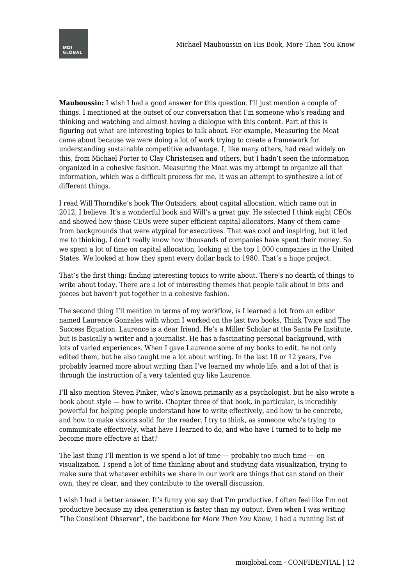

**Mauboussin:** I wish I had a good answer for this question. I'll just mention a couple of things. I mentioned at the outset of our conversation that I'm someone who's reading and thinking and watching and almost having a dialogue with this content. Part of this is figuring out what are interesting topics to talk about. For example, Measuring the Moat came about because we were doing a lot of work trying to create a framework for understanding sustainable competitive advantage. I, like many others, had read widely on this, from Michael Porter to Clay Christensen and others, but I hadn't seen the information organized in a cohesive fashion. Measuring the Moat was my attempt to organize all that information, which was a difficult process for me. It was an attempt to synthesize a lot of different things.

I read Will Thorndike's book The Outsiders, about capital allocation, which came out in 2012, I believe. It's a wonderful book and Will's a great guy. He selected I think eight CEOs and showed how those CEOs were super efficient capital allocators. Many of them came from backgrounds that were atypical for executives. That was cool and inspiring, but it led me to thinking, I don't really know how thousands of companies have spent their money. So we spent a lot of time on capital allocation, looking at the top 1,000 companies in the United States. We looked at how they spent every dollar back to 1980. That's a huge project.

That's the first thing: finding interesting topics to write about. There's no dearth of things to write about today. There are a lot of interesting themes that people talk about in bits and pieces but haven't put together in a cohesive fashion.

The second thing I'll mention in terms of my workflow, is I learned a lot from an editor named Laurence Gonzales with whom I worked on the last two books, Think Twice and The Success Equation. Laurence is a dear friend. He's a Miller Scholar at the Santa Fe Institute, but is basically a writer and a journalist. He has a fascinating personal background, with lots of varied experiences. When I gave Laurence some of my books to edit, he not only edited them, but he also taught me a lot about writing. In the last 10 or 12 years, I've probably learned more about writing than I've learned my whole life, and a lot of that is through the instruction of a very talented guy like Laurence.

I'll also mention Steven Pinker, who's known primarily as a psychologist, but he also wrote a book about style — how to write. Chapter three of that book, in particular, is incredibly powerful for helping people understand how to write effectively, and how to be concrete, and how to make visions solid for the reader. I try to think, as someone who's trying to communicate effectively, what have I learned to do, and who have I turned to to help me become more effective at that?

The last thing I'll mention is we spend a lot of time  $-$  probably too much time  $-$  on visualization. I spend a lot of time thinking about and studying data visualization, trying to make sure that whatever exhibits we share in our work are things that can stand on their own, they're clear, and they contribute to the overall discussion.

I wish I had a better answer. It's funny you say that I'm productive. I often feel like I'm not productive because my idea generation is faster than my output. Even when I was writing "The Consilient Observer", the backbone for *More Than You Know*, I had a running list of